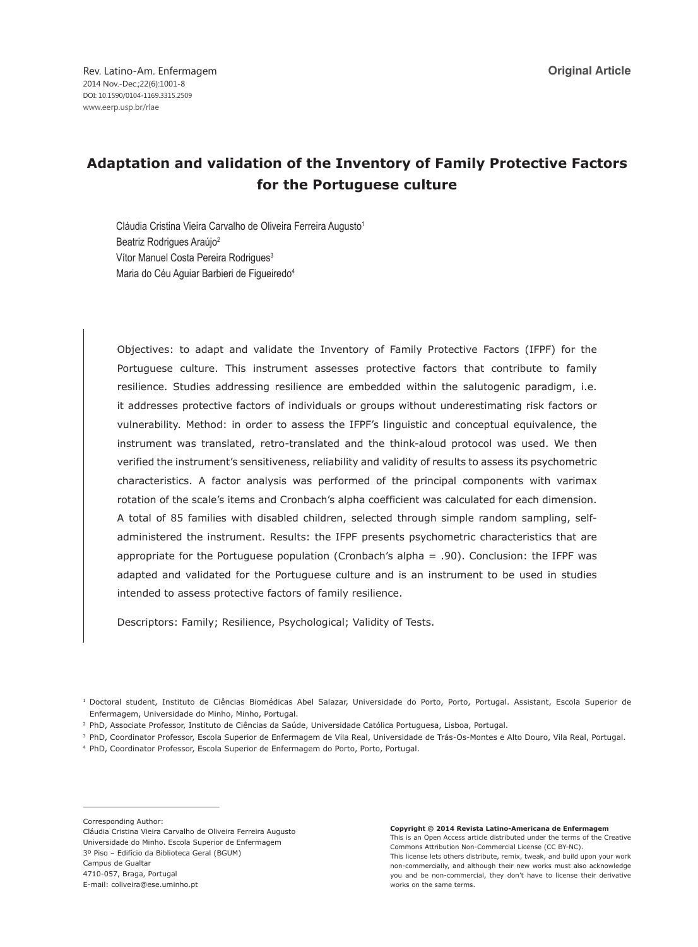# **Adaptation and validation of the Inventory of Family Protective Factors for the Portuguese culture**

Cláudia Cristina Vieira Carvalho de Oliveira Ferreira Augusto<sup>1</sup> Beatriz Rodrigues Araújo<sup>2</sup> Vítor Manuel Costa Pereira Rodrigues<sup>3</sup> Maria do Céu Aguiar Barbieri de Figueiredo4

Objectives: to adapt and validate the Inventory of Family Protective Factors (IFPF) for the Portuguese culture. This instrument assesses protective factors that contribute to family resilience. Studies addressing resilience are embedded within the salutogenic paradigm, i.e. it addresses protective factors of individuals or groups without underestimating risk factors or vulnerability. Method: in order to assess the IFPF's linguistic and conceptual equivalence, the instrument was translated, retro-translated and the think-aloud protocol was used. We then verified the instrument's sensitiveness, reliability and validity of results to assess its psychometric characteristics. A factor analysis was performed of the principal components with varimax rotation of the scale's items and Cronbach's alpha coefficient was calculated for each dimension. A total of 85 families with disabled children, selected through simple random sampling, selfadministered the instrument. Results: the IFPF presents psychometric characteristics that are appropriate for the Portuguese population (Cronbach's alpha = .90). Conclusion: the IFPF was adapted and validated for the Portuguese culture and is an instrument to be used in studies intended to assess protective factors of family resilience.

Descriptors: Family; Resilience, Psychological; Validity of Tests.

<sup>1</sup> Doctoral student, Instituto de Ciências Biomédicas Abel Salazar, Universidade do Porto, Porto, Portugal. Assistant, Escola Superior de Enfermagem, Universidade do Minho, Minho, Portugal.

- <sup>2</sup> PhD, Associate Professor, Instituto de Ciências da Saúde, Universidade Católica Portuguesa, Lisboa, Portugal.
- <sup>3</sup> PhD, Coordinator Professor, Escola Superior de Enfermagem de Vila Real, Universidade de Trás-Os-Montes e Alto Douro, Vila Real, Portugal.

<sup>4</sup> PhD, Coordinator Professor, Escola Superior de Enfermagem do Porto, Porto, Portugal.

Corresponding Author:

Cláudia Cristina Vieira Carvalho de Oliveira Ferreira Augusto Universidade do Minho. Escola Superior de Enfermagem 3º Piso – Edifício da Biblioteca Geral (BGUM) Campus de Gualtar 4710-057, Braga, Portugal E-mail: coliveira@ese.uminho.pt

**Copyright © 2014 Revista Latino-Americana de Enfermagem** This is an Open Access article distributed under the terms of the Creative Commons Attribution Non-Commercial License (CC BY-NC). This license lets others distribute, remix, tweak, and build upon your work non-commercially, and although their new works must also acknowledge you and be non-commercial, they don't have to license their derivative works on the same terms.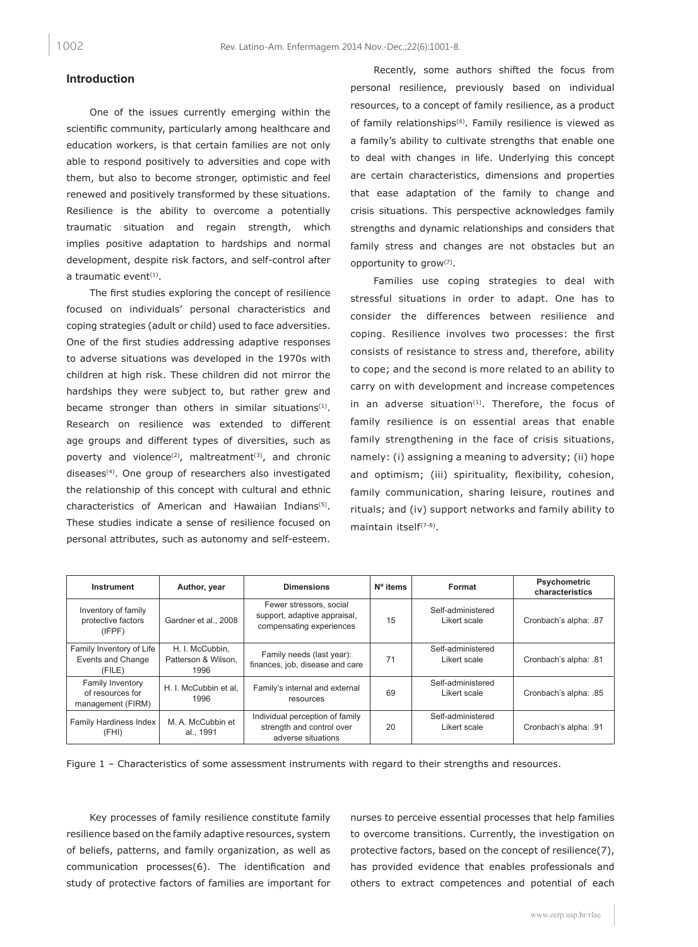#### **Introduction**

One of the issues currently emerging within the scientific community, particularly among healthcare and education workers, is that certain families are not only able to respond positively to adversities and cope with them, but also to become stronger, optimistic and feel renewed and positively transformed by these situations. Resilience is the ability to overcome a potentially traumatic situation and regain strength, which implies positive adaptation to hardships and normal development, despite risk factors, and self-control after a traumatic event $(1)$ .

The first studies exploring the concept of resilience focused on individuals' personal characteristics and coping strategies (adult or child) used to face adversities. One of the first studies addressing adaptive responses to adverse situations was developed in the 1970s with children at high risk. These children did not mirror the hardships they were subject to, but rather grew and became stronger than others in similar situations<sup>(1)</sup>. Research on resilience was extended to different age groups and different types of diversities, such as poverty and violence<sup>(2)</sup>, maltreatment<sup>(3)</sup>, and chronic diseases<sup>(4)</sup>. One group of researchers also investigated the relationship of this concept with cultural and ethnic characteristics of American and Hawaiian Indians(5). These studies indicate a sense of resilience focused on personal attributes, such as autonomy and self-esteem.

Recently, some authors shifted the focus from personal resilience, previously based on individual resources, to a concept of family resilience, as a product of family relationships<sup>(6)</sup>. Family resilience is viewed as a family's ability to cultivate strengths that enable one to deal with changes in life. Underlying this concept are certain characteristics, dimensions and properties that ease adaptation of the family to change and crisis situations. This perspective acknowledges family strengths and dynamic relationships and considers that family stress and changes are not obstacles but an opportunity to grow(7).

Families use coping strategies to deal with stressful situations in order to adapt. One has to consider the differences between resilience and coping. Resilience involves two processes: the first consists of resistance to stress and, therefore, ability to cope; and the second is more related to an ability to carry on with development and increase competences in an adverse situation $(1)$ . Therefore, the focus of family resilience is on essential areas that enable family strengthening in the face of crisis situations, namely: (i) assigning a meaning to adversity; (ii) hope and optimism; (iii) spirituality, flexibility, cohesion, family communication, sharing leisure, routines and rituals; and (iv) support networks and family ability to maintain itself<sup>(7-8)</sup>.

| Instrument                                                | Author, year                                   | <b>Dimensions</b>                                                                   | Nº items | Format                            | Psychometric<br>characteristics |
|-----------------------------------------------------------|------------------------------------------------|-------------------------------------------------------------------------------------|----------|-----------------------------------|---------------------------------|
| Inventory of family<br>protective factors<br>(IFPF)       | Gardner et al., 2008                           | Fewer stressors, social<br>support, adaptive appraisal,<br>compensating experiences | 15       | Self-administered<br>Likert scale | Cronbach's alpha: .87           |
| Family Inventory of Life<br>Events and Change<br>(FILE)   | H. I. McCubbin,<br>Patterson & Wilson.<br>1996 | Family needs (last year):<br>finances, job, disease and care                        | 71       | Self-administered<br>Likert scale | Cronbach's alpha: .81           |
| Family Inventory<br>of resources for<br>management (FIRM) | H. I. McCubbin et al.<br>1996                  | Family's internal and external<br>resources                                         | 69       | Self-administered<br>Likert scale | Cronbach's alpha: .85           |
| <b>Family Hardiness Index</b><br>(FHI)                    | M. A. McCubbin et<br>al., 1991                 | Individual perception of family<br>strength and control over<br>adverse situations  | 20       | Self-administered<br>Likert scale | Cronbach's alpha: .91           |

Figure 1 – Characteristics of some assessment instruments with regard to their strengths and resources.

Key processes of family resilience constitute family resilience based on the family adaptive resources, system of beliefs, patterns, and family organization, as well as communication processes(6). The identification and study of protective factors of families are important for nurses to perceive essential processes that help families to overcome transitions. Currently, the investigation on protective factors, based on the concept of resilience(7), has provided evidence that enables professionals and others to extract competences and potential of each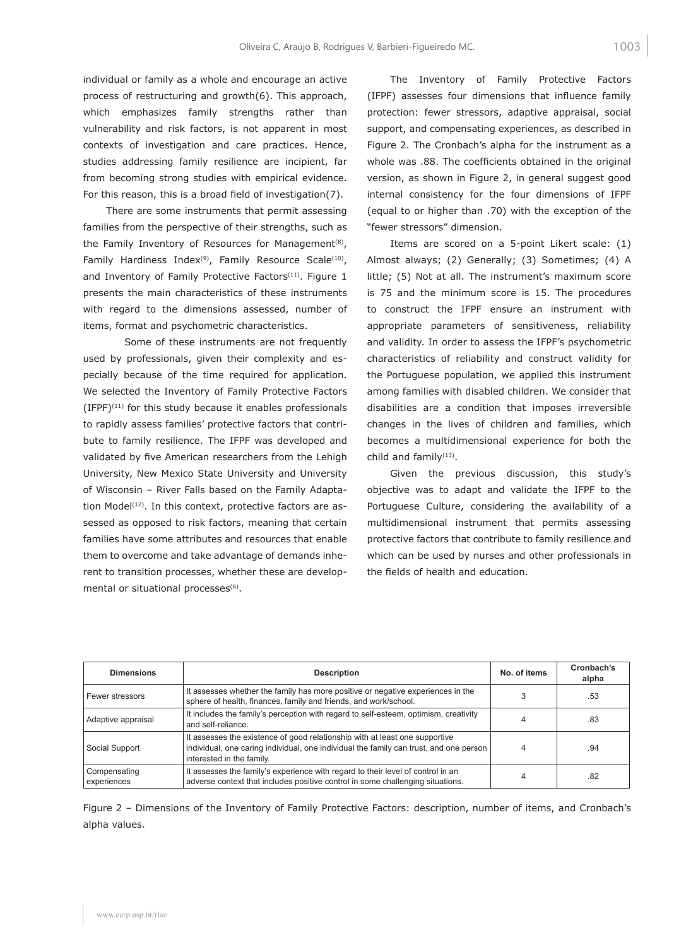individual or family as a whole and encourage an active process of restructuring and growth(6). This approach, which emphasizes family strengths rather than vulnerability and risk factors, is not apparent in most contexts of investigation and care practices. Hence, studies addressing family resilience are incipient, far from becoming strong studies with empirical evidence. For this reason, this is a broad field of investigation(7).

There are some instruments that permit assessing families from the perspective of their strengths, such as the Family Inventory of Resources for Management<sup>(8)</sup>, Family Hardiness Index<sup>(9)</sup>, Family Resource Scale<sup>(10)</sup>, and Inventory of Family Protective Factors<sup>(11)</sup>. Figure 1 presents the main characteristics of these instruments with regard to the dimensions assessed, number of items, format and psychometric characteristics.

Some of these instruments are not frequently used by professionals, given their complexity and especially because of the time required for application. We selected the Inventory of Family Protective Factors  $(IFPF)^{(11)}$  for this study because it enables professionals to rapidly assess families' protective factors that contribute to family resilience. The IFPF was developed and validated by five American researchers from the Lehigh University, New Mexico State University and University of Wisconsin – River Falls based on the Family Adaptation Model<sup>(12)</sup>. In this context, protective factors are assessed as opposed to risk factors, meaning that certain families have some attributes and resources that enable them to overcome and take advantage of demands inherent to transition processes, whether these are developmental or situational processes(6).

The Inventory of Family Protective Factors (IFPF) assesses four dimensions that influence family protection: fewer stressors, adaptive appraisal, social support, and compensating experiences, as described in Figure 2. The Cronbach's alpha for the instrument as a whole was .88. The coefficients obtained in the original version, as shown in Figure 2, in general suggest good internal consistency for the four dimensions of IFPF (equal to or higher than .70) with the exception of the "fewer stressors" dimension.

Items are scored on a 5-point Likert scale: (1) Almost always; (2) Generally; (3) Sometimes; (4) A little; (5) Not at all. The instrument's maximum score is 75 and the minimum score is 15. The procedures to construct the IFPF ensure an instrument with appropriate parameters of sensitiveness, reliability and validity. In order to assess the IFPF's psychometric characteristics of reliability and construct validity for the Portuguese population, we applied this instrument among families with disabled children. We consider that disabilities are a condition that imposes irreversible changes in the lives of children and families, which becomes a multidimensional experience for both the child and family<sup>(13)</sup>.

Given the previous discussion, this study's objective was to adapt and validate the IFPF to the Portuguese Culture, considering the availability of a multidimensional instrument that permits assessing protective factors that contribute to family resilience and which can be used by nurses and other professionals in the fields of health and education.

| <b>Dimensions</b>           | <b>Description</b>                                                                                                                                                                                 | No. of items | Cronbach's<br>alpha |
|-----------------------------|----------------------------------------------------------------------------------------------------------------------------------------------------------------------------------------------------|--------------|---------------------|
| Fewer stressors             | It assesses whether the family has more positive or negative experiences in the<br>sphere of health, finances, family and friends, and work/school.                                                |              | .53                 |
| Adaptive appraisal          | It includes the family's perception with regard to self-esteem, optimism, creativity<br>and self-reliance.                                                                                         |              | .83                 |
| Social Support              | It assesses the existence of good relationship with at least one supportive<br>individual, one caring individual, one individual the family can trust, and one person<br>interested in the family. |              | .94                 |
| Compensating<br>experiences | It assesses the family's experience with regard to their level of control in an<br>adverse context that includes positive control in some challenging situations.                                  |              | .82                 |

Figure 2 – Dimensions of the Inventory of Family Protective Factors: description, number of items, and Cronbach's alpha values.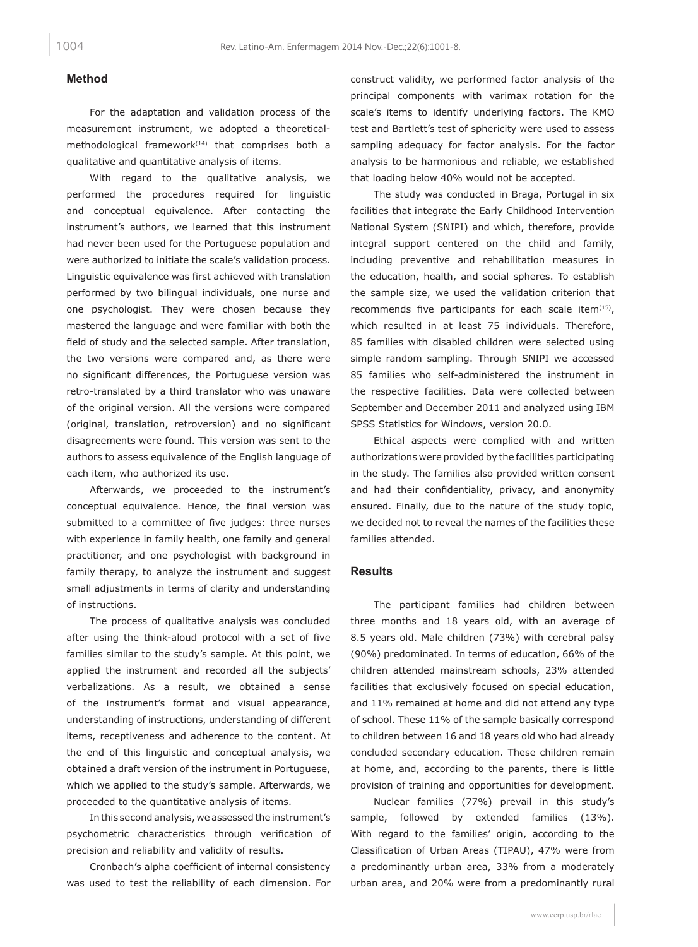## **Method**

For the adaptation and validation process of the measurement instrument, we adopted a theoreticalmethodological framework $(14)$  that comprises both a qualitative and quantitative analysis of items.

With regard to the qualitative analysis, we performed the procedures required for linguistic and conceptual equivalence. After contacting the instrument's authors, we learned that this instrument had never been used for the Portuguese population and were authorized to initiate the scale's validation process. Linguistic equivalence was first achieved with translation performed by two bilingual individuals, one nurse and one psychologist. They were chosen because they mastered the language and were familiar with both the field of study and the selected sample. After translation, the two versions were compared and, as there were no significant differences, the Portuguese version was retro-translated by a third translator who was unaware of the original version. All the versions were compared (original, translation, retroversion) and no significant disagreements were found. This version was sent to the authors to assess equivalence of the English language of each item, who authorized its use.

Afterwards, we proceeded to the instrument's conceptual equivalence. Hence, the final version was submitted to a committee of five judges: three nurses with experience in family health, one family and general practitioner, and one psychologist with background in family therapy, to analyze the instrument and suggest small adjustments in terms of clarity and understanding of instructions.

The process of qualitative analysis was concluded after using the think-aloud protocol with a set of five families similar to the study's sample. At this point, we applied the instrument and recorded all the subjects' verbalizations. As a result, we obtained a sense of the instrument's format and visual appearance, understanding of instructions, understanding of different items, receptiveness and adherence to the content. At the end of this linguistic and conceptual analysis, we obtained a draft version of the instrument in Portuguese, which we applied to the study's sample. Afterwards, we proceeded to the quantitative analysis of items.

In this second analysis, we assessed the instrument's psychometric characteristics through verification of precision and reliability and validity of results.

Cronbach's alpha coefficient of internal consistency was used to test the reliability of each dimension. For construct validity, we performed factor analysis of the principal components with varimax rotation for the scale's items to identify underlying factors. The KMO test and Bartlett's test of sphericity were used to assess sampling adequacy for factor analysis. For the factor analysis to be harmonious and reliable, we established that loading below 40% would not be accepted.

The study was conducted in Braga, Portugal in six facilities that integrate the Early Childhood Intervention National System (SNIPI) and which, therefore, provide integral support centered on the child and family, including preventive and rehabilitation measures in the education, health, and social spheres. To establish the sample size, we used the validation criterion that recommends five participants for each scale item $(15)$ , which resulted in at least 75 individuals. Therefore, 85 families with disabled children were selected using simple random sampling. Through SNIPI we accessed 85 families who self-administered the instrument in the respective facilities. Data were collected between September and December 2011 and analyzed using IBM SPSS Statistics for Windows, version 20.0.

Ethical aspects were complied with and written authorizations were provided by the facilities participating in the study. The families also provided written consent and had their confidentiality, privacy, and anonymity ensured. Finally, due to the nature of the study topic, we decided not to reveal the names of the facilities these families attended.

#### **Results**

The participant families had children between three months and 18 years old, with an average of 8.5 years old. Male children (73%) with cerebral palsy (90%) predominated. In terms of education, 66% of the children attended mainstream schools, 23% attended facilities that exclusively focused on special education, and 11% remained at home and did not attend any type of school. These 11% of the sample basically correspond to children between 16 and 18 years old who had already concluded secondary education. These children remain at home, and, according to the parents, there is little provision of training and opportunities for development.

Nuclear families (77%) prevail in this study's sample, followed by extended families (13%). With regard to the families' origin, according to the Classification of Urban Areas (TIPAU), 47% were from a predominantly urban area, 33% from a moderately urban area, and 20% were from a predominantly rural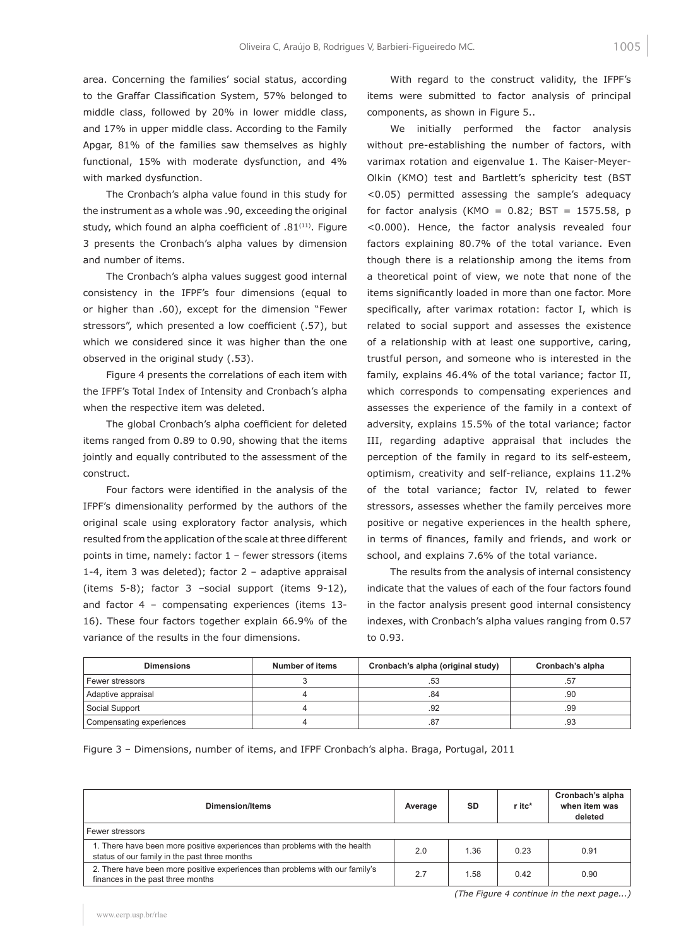area. Concerning the families' social status, according to the Graffar Classification System, 57% belonged to middle class, followed by 20% in lower middle class, and 17% in upper middle class. According to the Family Apgar, 81% of the families saw themselves as highly functional, 15% with moderate dysfunction, and 4% with marked dysfunction.

The Cronbach's alpha value found in this study for the instrument as a whole was .90, exceeding the original study, which found an alpha coefficient of .81<sup>(11)</sup>. Figure 3 presents the Cronbach's alpha values by dimension and number of items.

The Cronbach's alpha values suggest good internal consistency in the IFPF's four dimensions (equal to or higher than .60), except for the dimension "Fewer stressors", which presented a low coefficient (.57), but which we considered since it was higher than the one observed in the original study (.53).

Figure 4 presents the correlations of each item with the IFPF's Total Index of Intensity and Cronbach's alpha when the respective item was deleted.

The global Cronbach's alpha coefficient for deleted items ranged from 0.89 to 0.90, showing that the items jointly and equally contributed to the assessment of the construct.

Four factors were identified in the analysis of the IFPF's dimensionality performed by the authors of the original scale using exploratory factor analysis, which resulted from the application of the scale at three different points in time, namely: factor 1 – fewer stressors (items 1-4, item 3 was deleted); factor 2 – adaptive appraisal (items 5-8); factor 3 –social support (items 9-12), and factor 4 – compensating experiences (items 13- 16). These four factors together explain 66.9% of the variance of the results in the four dimensions.

With regard to the construct validity, the IFPF's items were submitted to factor analysis of principal components, as shown in Figure 5..

We initially performed the factor analysis without pre-establishing the number of factors, with varimax rotation and eigenvalue 1. The Kaiser-Meyer-Olkin (KMO) test and Bartlett's sphericity test (BST <0.05) permitted assessing the sample's adequacy for factor analysis (KMO =  $0.82$ ; BST = 1575.58, p <0.000). Hence, the factor analysis revealed four factors explaining 80.7% of the total variance. Even though there is a relationship among the items from a theoretical point of view, we note that none of the items significantly loaded in more than one factor. More specifically, after varimax rotation: factor I, which is related to social support and assesses the existence of a relationship with at least one supportive, caring, trustful person, and someone who is interested in the family, explains 46.4% of the total variance; factor II, which corresponds to compensating experiences and assesses the experience of the family in a context of adversity, explains 15.5% of the total variance; factor III, regarding adaptive appraisal that includes the perception of the family in regard to its self-esteem, optimism, creativity and self-reliance, explains 11.2% of the total variance; factor IV, related to fewer stressors, assesses whether the family perceives more positive or negative experiences in the health sphere, in terms of finances, family and friends, and work or school, and explains 7.6% of the total variance.

The results from the analysis of internal consistency indicate that the values of each of the four factors found in the factor analysis present good internal consistency indexes, with Cronbach's alpha values ranging from 0.57 to 0.93.

| <b>Dimensions</b>        | Number of items | Cronbach's alpha (original study) | Cronbach's alpha |  |
|--------------------------|-----------------|-----------------------------------|------------------|--|
| Fewer stressors          |                 | .53                               | .57              |  |
| Adaptive appraisal       |                 | .84                               | .90              |  |
| Social Support           |                 | .92                               | .99              |  |
| Compensating experiences |                 | .87                               | .93              |  |

Figure 3 – Dimensions, number of items, and IFPF Cronbach's alpha. Braga, Portugal, 2011

| <b>Dimension/Items</b>                                                                                                      | Average | <b>SD</b> | r itc* | Cronbach's alpha<br>when item was<br>deleted |  |
|-----------------------------------------------------------------------------------------------------------------------------|---------|-----------|--------|----------------------------------------------|--|
| Fewer stressors                                                                                                             |         |           |        |                                              |  |
| 1. There have been more positive experiences than problems with the health<br>status of our family in the past three months | 2.0     | 1.36      | 0.23   | 0.91                                         |  |
| 2. There have been more positive experiences than problems with our family's<br>finances in the past three months           | 2.7     | 1.58      | 0.42   | 0.90                                         |  |

*(The Figure 4 continue in the next page...)*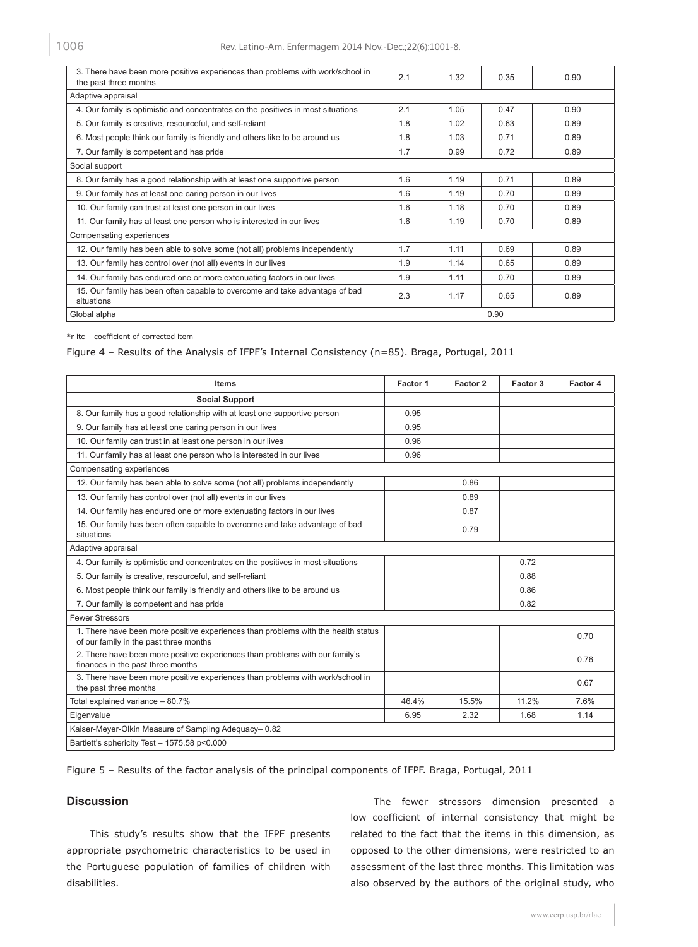| 3. There have been more positive experiences than problems with work/school in<br>the past three months |     | 1.32 | 0.35 | 0.90 |  |
|---------------------------------------------------------------------------------------------------------|-----|------|------|------|--|
| Adaptive appraisal                                                                                      |     |      |      |      |  |
| 4. Our family is optimistic and concentrates on the positives in most situations                        | 2.1 | 1.05 | 0.47 | 0.90 |  |
| 5. Our family is creative, resourceful, and self-reliant                                                | 1.8 | 1.02 | 0.63 | 0.89 |  |
| 6. Most people think our family is friendly and others like to be around us                             | 1.8 | 1.03 | 0.71 | 0.89 |  |
| 7. Our family is competent and has pride                                                                | 1.7 | 0.99 | 0.72 | 0.89 |  |
| Social support                                                                                          |     |      |      |      |  |
| 8. Our family has a good relationship with at least one supportive person                               | 1.6 | 1.19 | 0.71 | 0.89 |  |
| 9. Our family has at least one caring person in our lives                                               | 1.6 | 1.19 | 0.70 | 0.89 |  |
| 10. Our family can trust at least one person in our lives                                               | 1.6 | 1.18 | 0.70 | 0.89 |  |
| 11. Our family has at least one person who is interested in our lives                                   | 1.6 | 1.19 | 0.70 | 0.89 |  |
| Compensating experiences                                                                                |     |      |      |      |  |
| 12. Our family has been able to solve some (not all) problems independently                             | 1.7 | 1.11 | 0.69 | 0.89 |  |
| 13. Our family has control over (not all) events in our lives                                           | 1.9 | 1.14 | 0.65 | 0.89 |  |
| 14. Our family has endured one or more extenuating factors in our lives                                 | 1.9 | 1.11 | 0.70 | 0.89 |  |
| 15. Our family has been often capable to overcome and take advantage of bad<br>situations               | 2.3 | 1.17 | 0.65 | 0.89 |  |
| Global alpha                                                                                            |     | 0.90 |      |      |  |

\*r itc – coefficient of corrected item

Figure 4 – Results of the Analysis of IFPF's Internal Consistency (n=85). Braga, Portugal, 2011

| <b>Items</b>                                                                                                                | Factor 1 | Factor 2 | Factor 3 | Factor 4 |
|-----------------------------------------------------------------------------------------------------------------------------|----------|----------|----------|----------|
| <b>Social Support</b>                                                                                                       |          |          |          |          |
| 8. Our family has a good relationship with at least one supportive person                                                   | 0.95     |          |          |          |
| 9. Our family has at least one caring person in our lives                                                                   | 0.95     |          |          |          |
| 10. Our family can trust in at least one person in our lives                                                                | 0.96     |          |          |          |
| 11. Our family has at least one person who is interested in our lives                                                       | 0.96     |          |          |          |
| Compensating experiences                                                                                                    |          |          |          |          |
| 12. Our family has been able to solve some (not all) problems independently                                                 |          | 0.86     |          |          |
| 13. Our family has control over (not all) events in our lives                                                               |          | 0.89     |          |          |
| 14. Our family has endured one or more extenuating factors in our lives                                                     |          | 0.87     |          |          |
| 15. Our family has been often capable to overcome and take advantage of bad<br>situations                                   |          | 0.79     |          |          |
| Adaptive appraisal                                                                                                          |          |          |          |          |
| 4. Our family is optimistic and concentrates on the positives in most situations                                            |          |          | 0.72     |          |
| 5. Our family is creative, resourceful, and self-reliant                                                                    |          |          | 0.88     |          |
| 6. Most people think our family is friendly and others like to be around us                                                 |          |          | 0.86     |          |
| 7. Our family is competent and has pride                                                                                    |          |          | 0.82     |          |
| <b>Fewer Stressors</b>                                                                                                      |          |          |          |          |
| 1. There have been more positive experiences than problems with the health status<br>of our family in the past three months |          |          |          | 0.70     |
| 2. There have been more positive experiences than problems with our family's<br>finances in the past three months           |          |          |          | 0.76     |
| 3. There have been more positive experiences than problems with work/school in<br>the past three months                     |          |          |          | 0.67     |
| Total explained variance - 80.7%                                                                                            | 46.4%    | 15.5%    | 11.2%    | 7.6%     |
| Eigenvalue                                                                                                                  | 6.95     | 2.32     | 1.68     | 1.14     |
| Kaiser-Meyer-Olkin Measure of Sampling Adequacy-0.82                                                                        |          |          |          |          |
| Bartlett's sphericity Test - 1575.58 p<0.000                                                                                |          |          |          |          |

Figure 5 – Results of the factor analysis of the principal components of IFPF. Braga, Portugal, 2011

# **Discussion**

This study's results show that the IFPF presents appropriate psychometric characteristics to be used in the Portuguese population of families of children with disabilities.

The fewer stressors dimension presented a low coefficient of internal consistency that might be related to the fact that the items in this dimension, as opposed to the other dimensions, were restricted to an assessment of the last three months. This limitation was also observed by the authors of the original study, who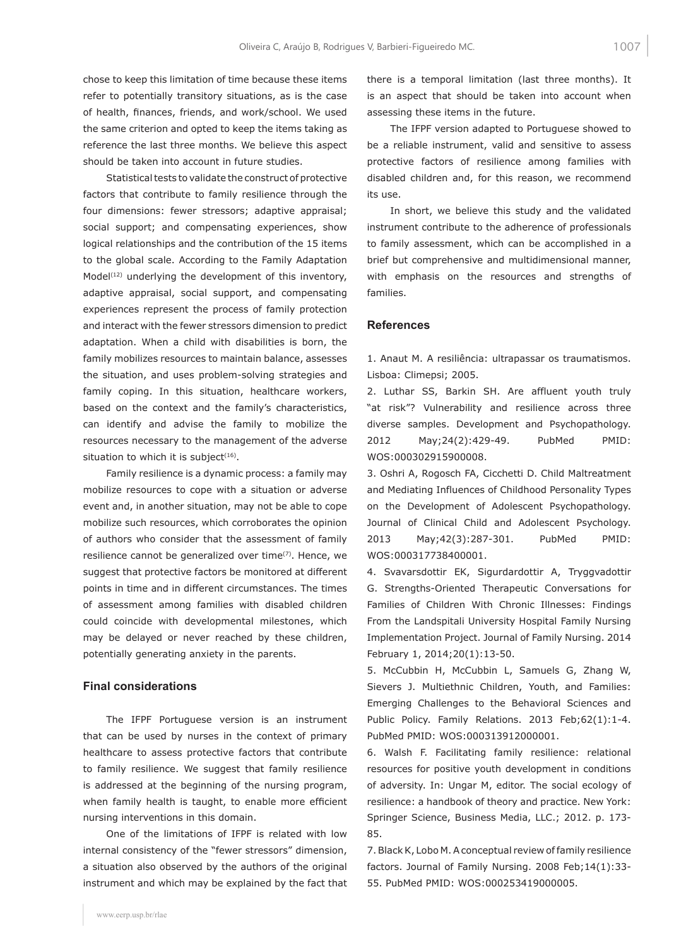chose to keep this limitation of time because these items refer to potentially transitory situations, as is the case of health, finances, friends, and work/school. We used the same criterion and opted to keep the items taking as reference the last three months. We believe this aspect should be taken into account in future studies.

Statistical tests to validate the construct of protective factors that contribute to family resilience through the four dimensions: fewer stressors; adaptive appraisal; social support; and compensating experiences, show logical relationships and the contribution of the 15 items to the global scale. According to the Family Adaptation Model<sup>(12)</sup> underlying the development of this inventory, adaptive appraisal, social support, and compensating experiences represent the process of family protection and interact with the fewer stressors dimension to predict adaptation. When a child with disabilities is born, the family mobilizes resources to maintain balance, assesses the situation, and uses problem-solving strategies and family coping. In this situation, healthcare workers, based on the context and the family's characteristics, can identify and advise the family to mobilize the resources necessary to the management of the adverse situation to which it is subject $(16)$ .

Family resilience is a dynamic process: a family may mobilize resources to cope with a situation or adverse event and, in another situation, may not be able to cope mobilize such resources, which corroborates the opinion of authors who consider that the assessment of family resilience cannot be generalized over time<sup>(7)</sup>. Hence, we suggest that protective factors be monitored at different points in time and in different circumstances. The times of assessment among families with disabled children could coincide with developmental milestones, which may be delayed or never reached by these children, potentially generating anxiety in the parents.

## **Final considerations**

The IFPF Portuguese version is an instrument that can be used by nurses in the context of primary healthcare to assess protective factors that contribute to family resilience. We suggest that family resilience is addressed at the beginning of the nursing program, when family health is taught, to enable more efficient nursing interventions in this domain.

One of the limitations of IFPF is related with low internal consistency of the "fewer stressors" dimension, a situation also observed by the authors of the original instrument and which may be explained by the fact that there is a temporal limitation (last three months). It is an aspect that should be taken into account when assessing these items in the future.

The IFPF version adapted to Portuguese showed to be a reliable instrument, valid and sensitive to assess protective factors of resilience among families with disabled children and, for this reason, we recommend its use.

In short, we believe this study and the validated instrument contribute to the adherence of professionals to family assessment, which can be accomplished in a brief but comprehensive and multidimensional manner, with emphasis on the resources and strengths of families.

#### **References**

1. Anaut M. A resiliência: ultrapassar os traumatismos. Lisboa: Climepsi; 2005.

2. Luthar SS, Barkin SH. Are affluent youth truly "at risk"? Vulnerability and resilience across three diverse samples. Development and Psychopathology. 2012 May;24(2):429-49. PubMed PMID: WOS:000302915900008.

3. Oshri A, Rogosch FA, Cicchetti D. Child Maltreatment and Mediating Influences of Childhood Personality Types on the Development of Adolescent Psychopathology. Journal of Clinical Child and Adolescent Psychology. 2013 May;42(3):287-301. PubMed PMID: WOS:000317738400001.

4. Svavarsdottir EK, Sigurdardottir A, Tryggvadottir G. Strengths-Oriented Therapeutic Conversations for Families of Children With Chronic Illnesses: Findings From the Landspitali University Hospital Family Nursing Implementation Project. Journal of Family Nursing. 2014 February 1, 2014;20(1):13-50.

5. McCubbin H, McCubbin L, Samuels G, Zhang W, Sievers J. Multiethnic Children, Youth, and Families: Emerging Challenges to the Behavioral Sciences and Public Policy. Family Relations. 2013 Feb;62(1):1-4. PubMed PMID: WOS:000313912000001.

6. Walsh F. Facilitating family resilience: relational resources for positive youth development in conditions of adversity. In: Ungar M, editor. The social ecology of resilience: a handbook of theory and practice. New York: Springer Science, Business Media, LLC.; 2012. p. 173- 85.

7. Black K, Lobo M. A conceptual review of family resilience factors. Journal of Family Nursing. 2008 Feb;14(1):33- 55. PubMed PMID: WOS:000253419000005.